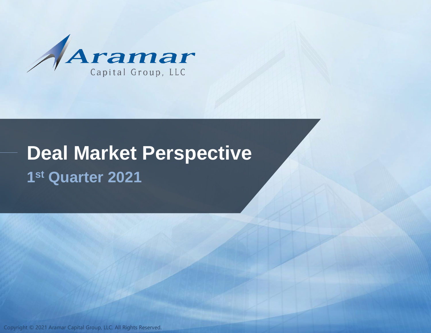

# **Deal Market Perspective 1 st Quarter 2021**

Copyright © 2021 Aramar Capital Group, LLC. All Rights Reserved.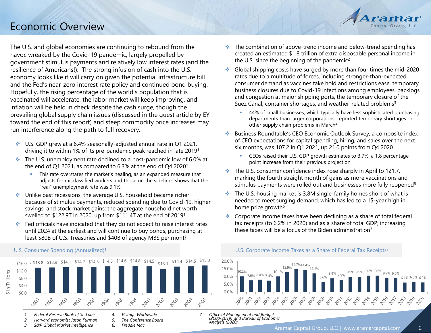## Economic Overview

The U.S. and global economies are continuing to rebound from the havoc wreaked by the Covid-19 pandemic, largely propelled by government stimulus payments and relatively low interest rates (and the resilience of Americans!). The strong infusion of cash into the U.S. economy looks like it will carry on given the potential infrastructure bill and the Fed's near-zero interest rate policy and continued bond buying. Hopefully, the rising percentage of the world's population that is vaccinated will accelerate, the labor market will keep improving, and inflation will be held in check despite the cash surge, though the prevailing global supply chain issues (discussed in the guest article by EY toward the end of this report) and steep commodity price increases may run interference along the path to full recovery.

- ❖ U.S. GDP grew at a 6.4% seasonally-adjusted annual rate in Q1 2021, driving it to within 1% of its pre-pandemic peak reached in late 2019<sup>1</sup>
- ❖ The U.S. unemployment rate declined to a post-pandemic low of 6.0% at the end of Q1 2021, as compared to 6.3% at the end of Q4 2020<sup>1</sup>
	- **•** This rate overstates the market's healing, as an expanded measure that adjusts for misclassified workers and those on the sidelines shows that the "real" unemployment rate was 9.1%
- ❖ Unlike past recessions, the average U.S. household became richer because of stimulus payments, reduced spending due to Covid-19, higher savings, and stock market gains; the aggregate household net worth swelled to \$122.9T in 2020, up from \$111.4T at the end of 2019<sup>1</sup>
- ❖ Fed officials have indicated that they do not expect to raise interest rates until 2024 at the earliest and will continue to buy bonds, purchasing at least \$80B of U.S. Treasuries and \$40B of agency MBS per month

#### U.S. Consumer Spending (Annualized)<sup>1</sup>



❖ The combination of above-trend income and below-trend spending has created an estimated \$1.8 trillion of extra disposable personal income in the U.S. since the beginning of the pandemic<sup>2</sup>

Capital Group, LLC

- ❖ Global shipping costs have surged by more than four times the mid-2020 rates due to a multitude of forces, including stronger-than-expected consumer demand as vaccines take hold and restrictions ease, temporary business closures due to Covid-19 infections among employees, backlogs and congestion at major shipping ports, the temporary closure of the Suez Canal, container shortages, and weather-related problems<sup>3</sup>
	- **44% of small businesses, which typically have less sophisticated purchasing** departments than larger corporations, reported temporary shortages or other supply chain problems in March<sup>4</sup>
- ❖ Business Roundtable's CEO Economic Outlook Survey, a composite index of CEO expectations for capital spending, hiring, and sales over the next six months, was 107.2 in Q1 2021, up 21.0 points from Q4 2020
	- CEOs raised their U.S. GDP growth estimates to 3.7%, a 1.8 percentage point increase from their previous projection
- $\cdot$  The U.S. consumer confidence index rose sharply in April to 121.7, marking the fourth straight month of gains as more vaccinations and stimulus payments were rolled out and businesses more fully reopened<sup>5</sup>
- The U.S. housing market is 3.8M single-family homes short of what is needed to meet surging demand, which has led to a 15-year high in home price growth<sup>6</sup>
- ❖ Corporate income taxes have been declining as a share of total federal tax receipts (to 6.2% in 2020) and as a share of total GDP; increasing these taxes will be a focus of the Biden administration<sup>7</sup>



*7. Office of Management and Budget (2000-2019) and Bureau of Economic Analysis (2020)*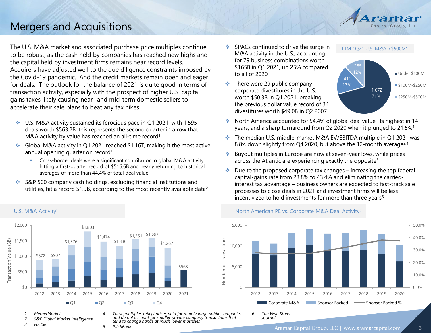

## Mergers and Acquisitions

The U.S. M&A market and associated purchase price multiples continue to be robust, as the cash held by companies has reached new highs and the capital held by investment firms remains near record levels. Acquirers have adjusted well to the due diligence constraints imposed by the Covid-19 pandemic. And the credit markets remain open and eager for deals. The outlook for the balance of 2021 is quite good in terms of transaction activity, especially with the prospect of higher U.S. capital gains taxes likely causing near- and mid-term domestic sellers to accelerate their sale plans to beat any tax hikes.

- ❖ U.S. M&A activity sustained its ferocious pace in Q1 2021, with 1,595 deals worth \$563.2B; this represents the second quarter in a row that M&A activity by value has reached an all-time record<sup>1</sup>
- ❖ Global M&A activity in Q1 2021 reached \$1.16T, making it the most active annual opening quarter on record<sup>1</sup>
	- Cross-border deals were a significant contributor to global M&A activity, hitting a first-quarter record of \$516.6B and nearly returning to historical averages of more than 44.4% of total deal value
- ❖ S&P 500 company cash holdings, excluding financial institutions and utilities, hit a record \$1.9B, according to the most recently available data<sup>2</sup>
- ❖ SPACs continued to drive the surge in M&A activity in the U.S., accounting for 79 business combinations worth \$165B in Q1 2021, up 25% compared to all of 2020<sup>1</sup>
- $\div$  There were 29 public company corporate divestitures in the U.S. worth \$50.3B in Q1 2021, breaking the previous dollar value record of 34 divestitures worth \$49.0B in Q2 2007<sup>1</sup>





- ❖ North America accounted for 54.4% of global deal value, its highest in 14 years, and a sharp turnaround from Q2 2020 when it plunged to 21.5%<sup>1</sup>
- ❖ The median U.S. middle-market M&A EV/EBITDA multiple in Q1 2021 was 8.8x, down slightly from Q4 2020, but above the 12-month average<sup>3,4</sup>
- Buyout multiples in Europe are now at seven-year lows, while prices across the Atlantic are experiencing exactly the opposite<sup>5</sup>
- ❖ Due to the proposed corporate tax changes increasing the top federal capital-gains rate from 23.8% to 43.4% and eliminating the carriedinterest tax advantage – business owners are expected to fast-track sale processes to close deals in 2021 and investment firms will be less incentivized to hold investments for more than three years<sup>6</sup>





<sup>\$2,000</sup> \$1,803 \$1,551 \$1,597 \$1,474 Transaction Value (\$B) Transaction Value (\$B) \$1,500 \$1,376 \$1,330 \$1,267 \$1,000 \$872 \$907 \$563 \$500 \$0 2012 2013 2014 2015 2016 2017 2018 2019 2020 2021  $\blacksquare$  Q1  $\blacksquare$  Q2  $\blacksquare$  Q3  $\blacksquare$  Q4

*5. PitchBook*

- *2. S&P Global Market Intelligence*
- *3. FactSet*

*4. These multiples reflect prices paid for mainly large public companies and do not account for smaller private company transactions that tend to change hands at much lower multiples*

Aramar Capital Group, LLC | www.aramarcapital.com 3 *6. The Wall Street Journal*

*<sup>1.</sup> MergerMarket*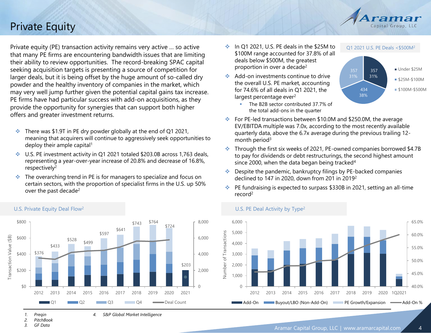## Private Equity

Private equity (PE) transaction activity remains very active … so active that many PE firms are encountering bandwidth issues that are limiting their ability to review opportunities. The record-breaking SPAC capital seeking acquisition targets is presenting a source of competition for larger deals, but it is being offset by the huge amount of so-called dry powder and the healthy inventory of companies in the market, which may very well jump further given the potential capital gains tax increase. PE firms have had particular success with add-on acquisitions, as they provide the opportunity for synergies that can support both higher offers and greater investment returns.

- $\cdot$  There was \$1.9T in PE dry powder globally at the end of Q1 2021, meaning that acquirers will continue to aggressively seek opportunities to deploy their ample capital<sup>1</sup>
- ❖ U.S. PE investment activity in Q1 2021 totaled \$203.0B across 1,763 deals, representing a year-over-year increase of 20.8% and decrease of 16.8%, respectively<sup>2</sup>
- ❖ The overarching trend in PE is for managers to specialize and focus on certain sectors, with the proportion of specialist firms in the U.S. up 50% over the past decade<sup>2</sup>
- \$800 \$743 \$764 8,000 \$724 \$641 \$597 Transaction Value (\$B) Transaction Value (\$B) \$600 6,000  $$528$  \$499 \$433 \$376 \$400 4,000 \$203 \$200 2,000  $$0$ 0 2012 2013 2014 2015 2016 2017 2018 2019 2020 2021 **Constitution Constitution Constitution Constitution Constitution Constitution Count**

*4. S&P Global Market Intelligence*

## U.S. Private Equity Deal Flow<sup>2</sup>

- ❖ In Q1 2021, U.S. PE deals in the \$25M to \$100M range accounted for 37.8% of all deals below \$500M, the greatest proportion in over a decade<sup>2</sup>
- ❖ Add-on investments continue to drive the overall U.S. PE market, accounting for 74.6% of all deals in Q1 2021, the largest percentage ever<sup>2</sup>





Q1 2021 U.S. PE Deals <\$500M<sup>2</sup>

Capital Group, LLC

- ❖ For PE-led transactions between \$10.0M and \$250.0M, the average EV/EBITDA multiple was 7.0x, according to the most recently available quarterly data, above the 6.7x average during the previous trailing 12 month period<sup>3</sup>
- ❖ Through the first six weeks of 2021, PE-owned companies borrowed \$4.7B to pay for dividends or debt restructurings, the second highest amount since 2000, when the data began being tracked<sup>4</sup>
- ❖ Despite the pandemic, bankruptcy filings by PE-backed companies declined to 147 in 2020, down from 201 in 2019<sup>2</sup>
- ❖ PE fundraising is expected to surpass \$330B in 2021, setting an all-time record<sup>2</sup>



U.S. PE Deal Activity by Type<sup>2</sup>

- *1. Preqin*
- *2. PitchBook*
- *3. GF Data*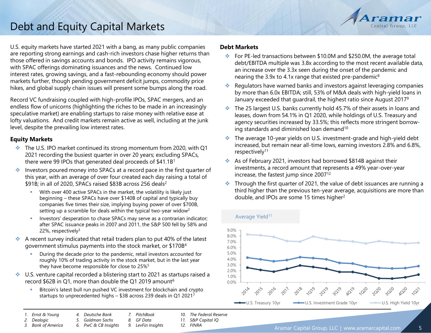

U.S. equity markets have started 2021 with a bang, as many public companies are reporting strong earnings and cash-rich investors chase higher returns than those offered in savings accounts and bonds. IPO activity remains vigorous, with SPAC offerings dominating issuances and the news. Continued low interest rates, growing savings, and a fast-rebounding economy should power markets further, though pending government deficit jumps, commodity price hikes, and global supply chain issues will present some bumps along the road.

Record VC fundraising coupled with high-profile IPOs, SPAC mergers, and an endless flow of unicorns (highlighting the riches to be made in an increasingly speculative market) are enabling startups to raise money with relative ease at lofty valuations. And credit markets remain active as well, including at the junk level, despite the prevailing low interest rates.

## **Equity Markets**

- ❖ The U.S. IPO market continued its strong momentum from 2020, with Q1 2021 recording the busiest quarter in over 20 years; excluding SPACs, there were 99 IPOs that generated deal proceeds of \$41.1B<sup>1</sup>
- ❖ Investors poured money into SPACs at a record pace in the first quarter of this year, with an average of over four created each day raising a total of \$91B; in all of 2020, SPACs raised \$83B across 256 deals<sup>2</sup>
	- With over 400 active SPACs in the market, the volatility is likely just beginning – these SPACs have over \$140B of capital and typically buy companies five times their size, implying buying power of over \$700B, setting up a scramble for deals within the typical two-year widow<sup>2</sup>
	- **EXP** Investors' desperation to chase SPACs may serve as a contrarian indicator; after SPAC issuance peaks in 2007 and 2011, the S&P 500 fell by 58% and 22%, respectively $3$
- $\bullet$  A recent survey indicated that retail traders plan to put 40% of the latest government stimulus payments into the stock market, or \$170B<sup>4</sup>
	- During the decade prior to the pandemic, retail investors accounted for roughly 10% of trading activity in the stock market, but in the last year they have become responsible for close to 25%<sup>5</sup>
- ❖ U.S. venture capital recorded a blistering start to 2021 as startups raised a record \$62B in Q1, more than double the Q1 2019 amount<sup>6</sup>
	- Bitcoin's latest bull run pushed VC investment for blockchain and crypto startups to unprecedented highs – \$3B across 239 deals in Q1 2021<sup>7</sup>

## **Debt Markets**

- ❖ For PE-led transactions between \$10.0M and \$250.0M, the average total debt/EBITDA multiple was 3.8x according to the most recent available data, an increase over the 3.3x seen during the onset of the pandemic and nearing the 3.9x to 4.1x range that existed pre-pandemic<sup>8</sup>
- ❖ Regulators have warned banks and investors against leveraging companies by more than 6.0x EBITDA; still, 53% of M&A deals with high-yield loans in January exceeded that guardrail, the highest ratio since August 2017<sup>9</sup>
- ❖ The 25 largest U.S. banks currently hold 45.7% of their assets in loans and leases, down from 54.1% in Q1 2020, while holdings of U.S. Treasury and agency securities increased by 33.5%; this reflects more stringent borrowing standards and diminished loan demand<sup>10</sup>
- ❖ The average 10-year yields on U.S. investment-grade and high-yield debt increased, but remain near all-time lows, earning investors 2.8% and 6.8%, respectively<sup>11</sup>
- ❖ As of February 2021, investors had borrowed \$814B against their investments, a record amount that represents a 49% year-over-year increase, the fastest jump since 2007<sup>12</sup>
- ❖ Through the first quarter of 2021, the value of debt issuances are running a third higher than the previous ten-year average, acquisitions are more than double, and IPOs are some 15 times higher<sup>2</sup>



- *1. Ernst & Young*
- *4. Deutsche Bank*
- *5. Goldman Sachs 7. PitchBook*
- *2. Dealogic*
- *3. Bank of America*
- *6. PwC & CB Insights*
- *8. GF Data 9. LevFin Insights*
- *10. The Federal Reserve 11. S&P Capital IQ*
	- *12. FINRA*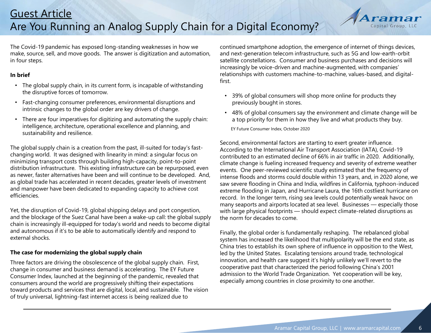

The Covid-19 pandemic has exposed long-standing weaknesses in how we make, source, sell, and move goods. The answer is digitization and automation, in four steps.

## **In brief**

- The global supply chain, in its current form, is incapable of withstanding the disruptive forces of tomorrow.
- Fast-changing consumer preferences, environmental disruptions and intrinsic changes to the global order are key drivers of change.
- There are four imperatives for digitizing and automating the supply chain: intelligence, architecture, operational excellence and planning, and sustainability and resilience.

The global supply chain is a creation from the past, ill-suited for today's fastchanging world. It was designed with linearity in mind: a singular focus on minimizing transport costs through building high-capacity, point-to-point distribution infrastructure. This existing infrastructure can be repurposed, even as newer, faster alternatives have been and will continue to be developed. And, as global trade has accelerated in recent decades, greater levels of investment and manpower have been dedicated to expanding capacity to achieve cost efficiencies.

Yet, the disruption of Covid-19, global shipping delays and port congestion, and the blockage of the Suez Canal have been a wake-up call: the global supply chain is increasingly ill-equipped for today's world and needs to become digital and autonomous if it's to be able to automatically identify and respond to external shocks.

## **The case for modernizing the global supply chain**

Three factors are driving the obsolescence of the global supply chain. First, change in consumer and business demand is accelerating. The EY Future Consumer Index, launched at the beginning of the pandemic, revealed that consumers around the world are progressively shifting their expectations toward products and services that are digital, local, and sustainable. The vision of truly universal, lightning-fast internet access is being realized due to

continued smartphone adoption, the emergence of internet of things devices, and next-generation telecom infrastructure, such as 5G and low-earth-orbit satellite constellations. Consumer and business purchases and decisions will increasingly be voice-driven and machine-augmented, with companies' relationships with customers machine-to-machine, values-based, and digitalfirst.

- 39% of global consumers will shop more online for products they previously bought in stores.
- 48% of global consumers say the environment and climate change will be a top priority for them in how they live and what products they buy.

EY Future Consumer Index, October 2020

Second, environmental factors are starting to exert greater influence. According to the International Air Transport Association (IATA), Covid-19 contributed to an estimated decline of 66% in air traffic in 2020. Additionally, climate change is fueling increased frequency and severity of extreme weather events. One peer-reviewed scientific study estimated that the frequency of intense floods and storms could double within 13 years, and, in 2020 alone, we saw severe flooding in China and India, wildfires in California, typhoon-induced extreme flooding in Japan, and Hurricane Laura, the 16th costliest hurricane on record. In the longer term, rising sea levels could potentially wreak havoc on many seaports and airports located at sea level. Businesses — especially those with large physical footprints — should expect climate-related disruptions as the norm for decades to come.

Finally, the global order is fundamentally reshaping. The rebalanced global system has increased the likelihood that multipolarity will be the end state, as China tries to establish its own sphere of influence in opposition to the West, led by the United States. Escalating tensions around trade, technological innovation, and health care suggest it's highly unlikely we'll revert to the cooperative past that characterized the period following China's 2001 admission to the World Trade Organization. Yet cooperation will be key, especially among countries in close proximity to one another.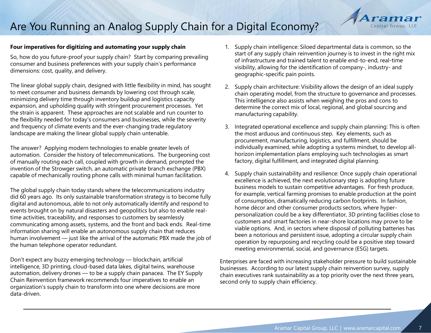## Are You Running an Analog Supply Chain for a Digital Economy?

### **Four imperatives for digitizing and automating your supply chain**

So, how do you future-proof your supply chain? Start by comparing prevailing consumer and business preferences with your supply chain's performance dimensions: cost, quality, and delivery.

The linear global supply chain, designed with little flexibility in mind, has sought to meet consumer and business demands by lowering cost through scale, minimizing delivery time through inventory buildup and logistics capacity expansion, and upholding quality with stringent procurement processes. Yet the strain is apparent. These approaches are not scalable and run counter to the flexibility needed for today's consumers and businesses, while the severity and frequency of climate events and the ever-changing trade regulatory landscape are making the linear global supply chain untenable.

The answer? Applying modern technologies to enable greater levels of automation. Consider the history of telecommunications. The burgeoning cost of manually routing each call, coupled with growth in demand, prompted the invention of the Strowger switch, an automatic private branch exchange (PBX) capable of mechanically routing phone calls with minimal human facilitation.

The global supply chain today stands where the telecommunications industry did 60 years ago. Its only sustainable transformation strategy is to become fully digital and autonomous, able to not only automatically identify and respond to events brought on by natural disasters and geopolitics but also to enable realtime activities, traceability, and responses to customers by seamlessly communicating among assets, systems, and the front and back ends. Real-time information sharing will enable an autonomous supply chain that reduces human involvement — just like the arrival of the automatic PBX made the job of the human telephone operator redundant.

Don't expect any buzzy emerging technology — blockchain, artificial intelligence, 3D printing, cloud-based data lakes, digital twins, warehouse automation, delivery drones — to be a supply chain panacea. The EY Supply Chain Reinvention framework recommends four imperatives to enable an organization's supply chain to transform into one where decisions are more data-driven.

1. Supply chain intelligence: Siloed departmental data is common, so the start of any supply chain reinvention journey is to invest in the right mix of infrastructure and trained talent to enable end-to-end, real-time visibility, allowing for the identification of company-, industry- and geographic-specific pain points.

Capital Group, LLC

- 2. Supply chain architecture: Visibility allows the design of an ideal supply chain operating model, from the structure to governance and processes. This intelligence also assists when weighing the pros and cons to determine the correct mix of local, regional, and global sourcing and manufacturing capability.
- 3. Integrated operational excellence and supply chain planning: This is often the most arduous and continuous step. Key elements, such as procurement, manufacturing, logistics, and fulfillment, should be individually examined, while adopting a systems mindset, to develop allhorizon implementation plans employing such technologies as smart factory, digital fulfillment, and integrated digital planning.
- 4. Supply chain sustainability and resilience: Once supply chain operational excellence is achieved, the next evolutionary step is adopting future business models to sustain competitive advantages. For fresh produce, for example, vertical farming promises to enable production at the point of consumption, dramatically reducing carbon footprints. In fashion, home décor and other consumer products sectors, where hyperpersonalization could be a key differentiator, 3D printing facilities close to customers and smart factories in near-shore locations may prove to be viable options. And, in sectors where disposal of polluting batteries has been a notorious and persistent issue, adopting a circular supply chain operation by repurposing and recycling could be a positive step toward meeting environmental, social, and governance (ESG) targets.

Enterprises are faced with increasing stakeholder pressure to build sustainable businesses. According to our latest supply chain reinvention survey, supply chain executives rank sustainability as a top priority over the next three years, second only to supply chain efficiency.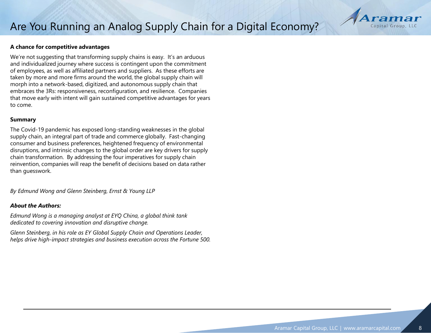# Capital Group

### **A chance for competitive advantages**

We're not suggesting that transforming supply chains is easy. It's an arduous and individualized journey where success is contingent upon the commitment of employees, as well as affiliated partners and suppliers. As these efforts are taken by more and more firms around the world, the global supply chain will morph into a network-based, digitized, and autonomous supply chain that embraces the 3Rs: responsiveness, reconfiguration, and resilience. Companies that move early with intent will gain sustained competitive advantages for years to come.

#### **Summary**

The Covid-19 pandemic has exposed long-standing weaknesses in the global supply chain, an integral part of trade and commerce globally. Fast-changing consumer and business preferences, heightened frequency of environmental disruptions, and intrinsic changes to the global order are key drivers for supply chain transformation. By addressing the four imperatives for supply chain reinvention, companies will reap the benefit of decisions based on data rather than guesswork.

*By Edmund Wong and Glenn Steinberg, Ernst & Young LLP*

### *About the Authors:*

*Edmund Wong is a managing analyst at EYQ China, a global think tank dedicated to covering innovation and disruptive change.*

*Glenn Steinberg, in his role as EY Global Supply Chain and Operations Leader, helps drive high-impact strategies and business execution across the Fortune 500.*